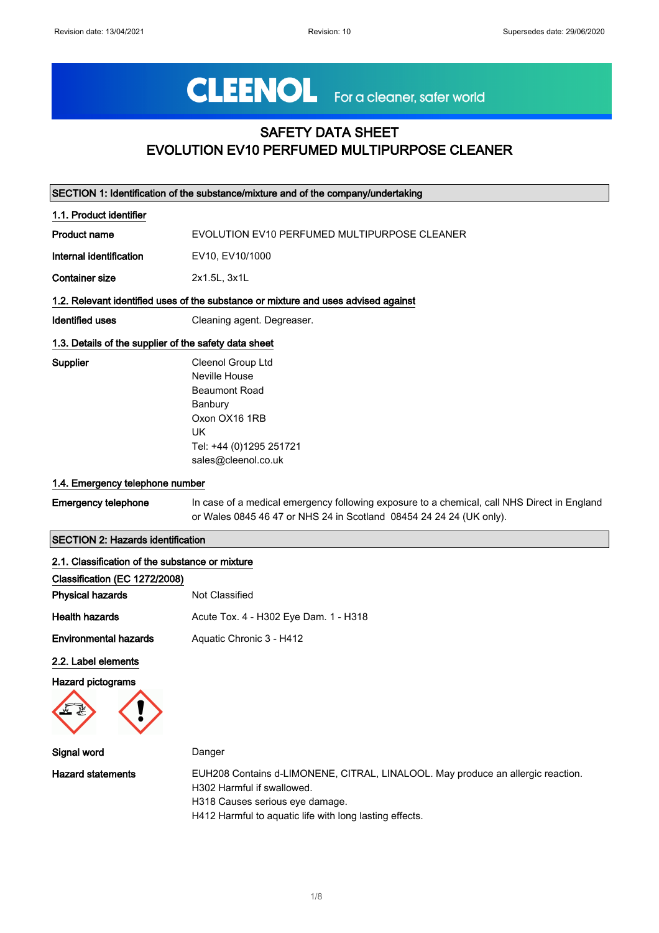# CLEENOL For a cleaner, safer world

## SAFETY DATA SHEET EVOLUTION EV10 PERFUMED MULTIPURPOSE CLEANER

| SECTION 1: Identification of the substance/mixture and of the company/undertaking                                           |                                                                                             |  |
|-----------------------------------------------------------------------------------------------------------------------------|---------------------------------------------------------------------------------------------|--|
| 1.1. Product identifier                                                                                                     |                                                                                             |  |
| <b>Product name</b>                                                                                                         | EVOLUTION EV10 PERFUMED MULTIPURPOSE CLEANER                                                |  |
| Internal identification                                                                                                     | EV10, EV10/1000                                                                             |  |
| <b>Container size</b>                                                                                                       | 2x1.5L, 3x1L                                                                                |  |
|                                                                                                                             | 1.2. Relevant identified uses of the substance or mixture and uses advised against          |  |
| <b>Identified uses</b>                                                                                                      | Cleaning agent. Degreaser.                                                                  |  |
| 1.3. Details of the supplier of the safety data sheet                                                                       |                                                                                             |  |
| <b>Supplier</b>                                                                                                             | Cleenol Group Ltd                                                                           |  |
|                                                                                                                             | Neville House                                                                               |  |
|                                                                                                                             | <b>Beaumont Road</b>                                                                        |  |
|                                                                                                                             | Banbury                                                                                     |  |
|                                                                                                                             | Oxon OX16 1RB                                                                               |  |
|                                                                                                                             | UK                                                                                          |  |
|                                                                                                                             | Tel: +44 (0)1295 251721                                                                     |  |
|                                                                                                                             | sales@cleenol.co.uk                                                                         |  |
| 1.4. Emergency telephone number                                                                                             |                                                                                             |  |
| <b>Emergency telephone</b>                                                                                                  | In case of a medical emergency following exposure to a chemical, call NHS Direct in England |  |
|                                                                                                                             | or Wales 0845 46 47 or NHS 24 in Scotland 08454 24 24 24 (UK only).                         |  |
| <b>SECTION 2: Hazards identification</b>                                                                                    |                                                                                             |  |
| $\sim$ 4 $\sim$ 1 $\sim$ 1 $\sim$ 1 $\sim$ 1 $\sim$ 1 $\sim$ 1 $\sim$ 1 $\sim$ 1 $\sim$ 1 $\sim$ 1 $\sim$ 1 $\sim$ 1 $\sim$ |                                                                                             |  |

| 2.1. Classification of the substance or mixture |                                       |
|-------------------------------------------------|---------------------------------------|
| Classification (EC 1272/2008)                   |                                       |
| <b>Physical hazards</b>                         | Not Classified                        |
| <b>Health hazards</b>                           | Acute Tox. 4 - H302 Eye Dam. 1 - H318 |
| <b>Environmental hazards</b>                    | Aquatic Chronic 3 - H412              |
| 2.2. Label elements                             |                                       |
| Hazard pictograms<br>$\sum_{k=1}^{\infty}$      |                                       |

| Signal word              | Danger                                                                                                                                           |
|--------------------------|--------------------------------------------------------------------------------------------------------------------------------------------------|
| <b>Hazard statements</b> | EUH208 Contains d-LIMONENE, CITRAL, LINALOOL. May produce an allergic reaction.<br>H302 Harmful if swallowed.<br>H318 Causes serious eye damage. |
|                          | H412 Harmful to aguatic life with long lasting effects.                                                                                          |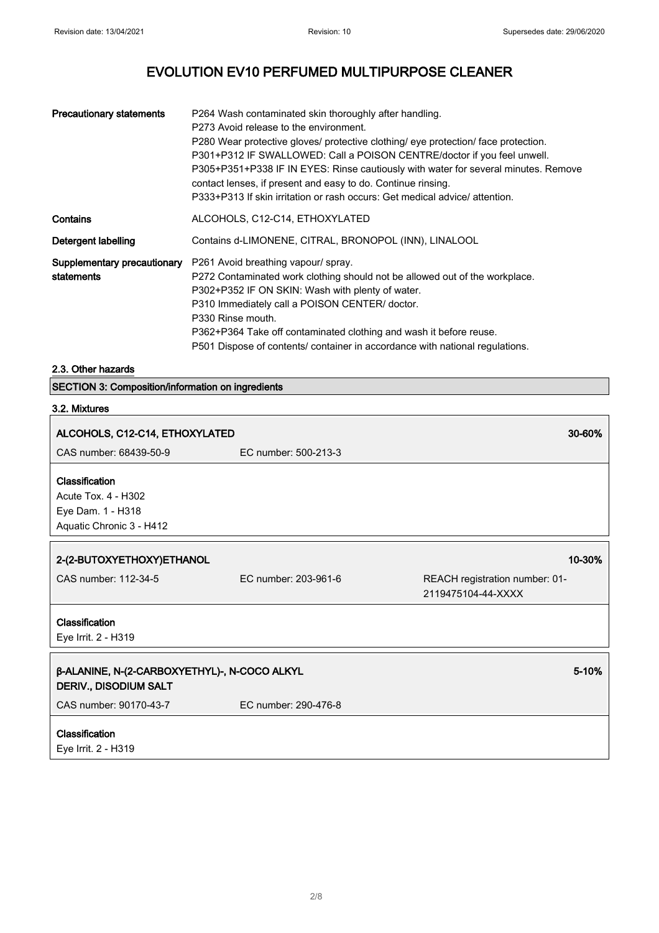| <b>Precautionary statements</b>           | P264 Wash contaminated skin thoroughly after handling.<br>P273 Avoid release to the environment.<br>P280 Wear protective gloves/ protective clothing/ eye protection/ face protection.<br>P301+P312 IF SWALLOWED: Call a POISON CENTRE/doctor if you feel unwell.<br>P305+P351+P338 IF IN EYES: Rinse cautiously with water for several minutes. Remove<br>contact lenses, if present and easy to do. Continue rinsing.<br>P333+P313 If skin irritation or rash occurs: Get medical advice/attention. |
|-------------------------------------------|-------------------------------------------------------------------------------------------------------------------------------------------------------------------------------------------------------------------------------------------------------------------------------------------------------------------------------------------------------------------------------------------------------------------------------------------------------------------------------------------------------|
| Contains                                  | ALCOHOLS, C12-C14, ETHOXYLATED                                                                                                                                                                                                                                                                                                                                                                                                                                                                        |
| Detergent labelling                       | Contains d-LIMONENE, CITRAL, BRONOPOL (INN), LINALOOL                                                                                                                                                                                                                                                                                                                                                                                                                                                 |
| Supplementary precautionary<br>statements | P261 Avoid breathing vapour/ spray.<br>P272 Contaminated work clothing should not be allowed out of the workplace.<br>P302+P352 IF ON SKIN: Wash with plenty of water.<br>P310 Immediately call a POISON CENTER/ doctor.<br>P330 Rinse mouth.<br>P362+P364 Take off contaminated clothing and wash it before reuse.<br>P501 Dispose of contents/ container in accordance with national regulations.                                                                                                   |

#### 2.3. Other hazards

SECTION 3: Composition/information on ingredients

#### 3.2. Mixtures

| ALCOHOLS, C12-C14, ETHOXYLATED                                                         |                      | 30-60%                                               |
|----------------------------------------------------------------------------------------|----------------------|------------------------------------------------------|
| CAS number: 68439-50-9                                                                 | EC number: 500-213-3 |                                                      |
| Classification<br>Acute Tox. 4 - H302<br>Eye Dam. 1 - H318<br>Aquatic Chronic 3 - H412 |                      |                                                      |
| 2-(2-BUTOXYETHOXY)ETHANOL                                                              |                      | 10-30%                                               |
| CAS number: 112-34-5                                                                   | EC number: 203-961-6 | REACH registration number: 01-<br>2119475104-44-XXXX |
| Classification<br>Eye Irrit. 2 - H319                                                  |                      |                                                      |
| β-ALANINE, N-(2-CARBOXYETHYL)-, N-COCO ALKYL<br><b>DERIV., DISODIUM SALT</b>           |                      | 5-10%                                                |
| CAS number: 90170-43-7                                                                 | EC number: 290-476-8 |                                                      |
| Classification<br>Eye Irrit. 2 - H319                                                  |                      |                                                      |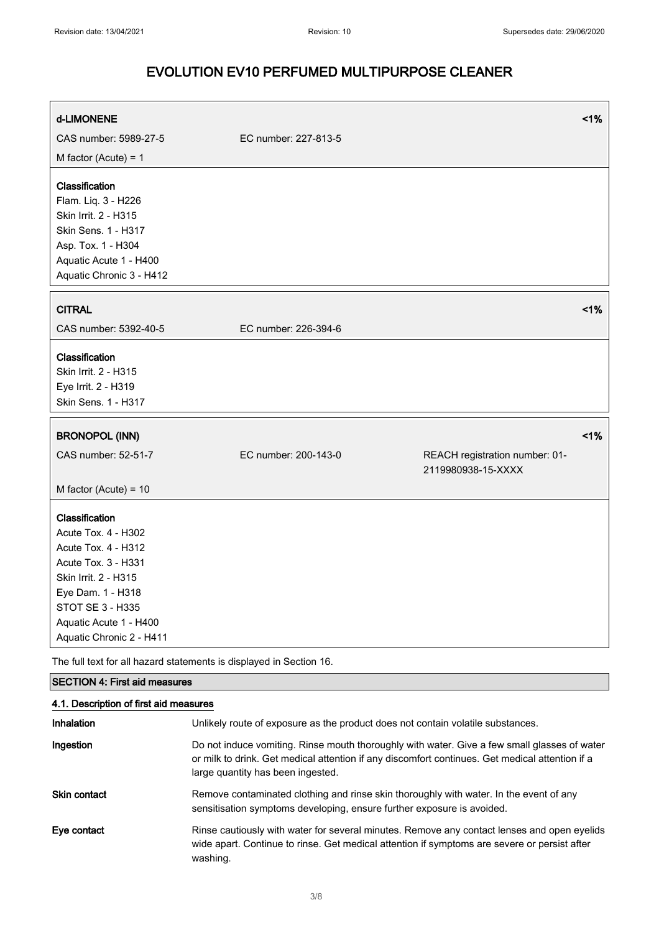| d-LIMONENE                                                                                                                                                                                                 |                      |                                                      | 1% |
|------------------------------------------------------------------------------------------------------------------------------------------------------------------------------------------------------------|----------------------|------------------------------------------------------|----|
| CAS number: 5989-27-5                                                                                                                                                                                      | EC number: 227-813-5 |                                                      |    |
| M factor (Acute) = $1$                                                                                                                                                                                     |                      |                                                      |    |
| Classification<br>Flam. Liq. 3 - H226<br>Skin Irrit. 2 - H315<br>Skin Sens. 1 - H317<br>Asp. Tox. 1 - H304<br>Aquatic Acute 1 - H400<br>Aquatic Chronic 3 - H412                                           |                      |                                                      |    |
| <b>CITRAL</b>                                                                                                                                                                                              |                      |                                                      | 1% |
| CAS number: 5392-40-5                                                                                                                                                                                      | EC number: 226-394-6 |                                                      |    |
| Classification<br>Skin Irrit. 2 - H315<br>Eye Irrit. 2 - H319<br>Skin Sens. 1 - H317                                                                                                                       |                      |                                                      |    |
|                                                                                                                                                                                                            |                      |                                                      |    |
| <b>BRONOPOL (INN)</b>                                                                                                                                                                                      |                      |                                                      | 1% |
| CAS number: 52-51-7                                                                                                                                                                                        | EC number: 200-143-0 | REACH registration number: 01-<br>2119980938-15-XXXX |    |
| M factor (Acute) = $10$                                                                                                                                                                                    |                      |                                                      |    |
| Classification<br>Acute Tox. 4 - H302<br>Acute Tox. 4 - H312<br>Acute Tox. 3 - H331<br>Skin Irrit. 2 - H315<br>Eye Dam. 1 - H318<br>STOT SE 3 - H335<br>Aquatic Acute 1 - H400<br>Aquatic Chronic 2 - H411 |                      |                                                      |    |

The full text for all hazard statements is displayed in Section 16.

#### SECTION 4: First aid measures

#### 4.1. Description of first aid measures

| <b>Inhalation</b>   | Unlikely route of exposure as the product does not contain volatile substances.                                                                                                                                                      |
|---------------------|--------------------------------------------------------------------------------------------------------------------------------------------------------------------------------------------------------------------------------------|
| Ingestion           | Do not induce vomiting. Rinse mouth thoroughly with water. Give a few small glasses of water<br>or milk to drink. Get medical attention if any discomfort continues. Get medical attention if a<br>large quantity has been ingested. |
| <b>Skin contact</b> | Remove contaminated clothing and rinse skin thoroughly with water. In the event of any<br>sensitisation symptoms developing, ensure further exposure is avoided.                                                                     |
| Eye contact         | Rinse cautiously with water for several minutes. Remove any contact lenses and open eyelids<br>wide apart. Continue to rinse. Get medical attention if symptoms are severe or persist after<br>washing.                              |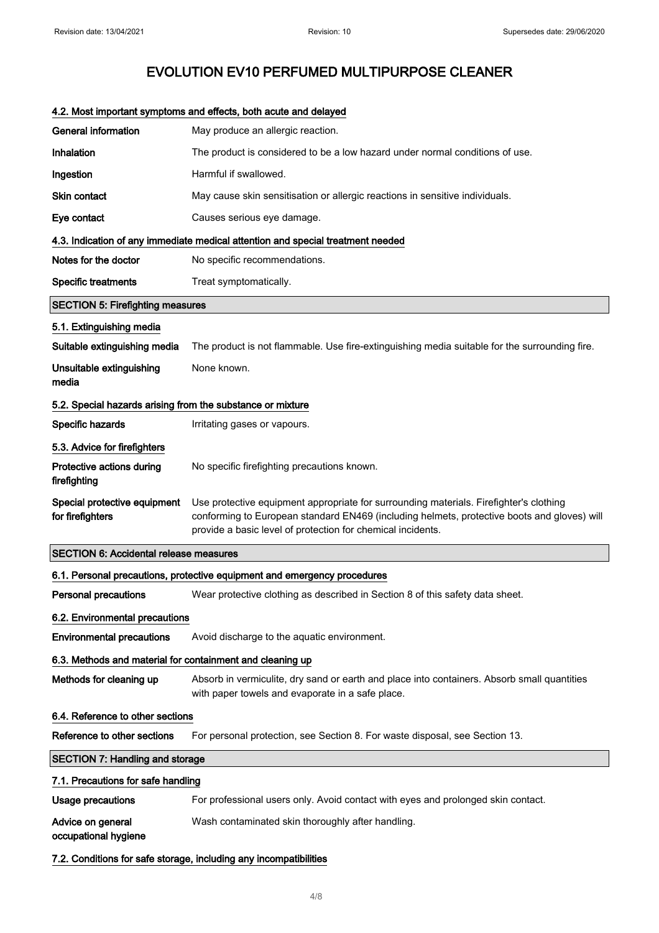| <b>General information</b>                                 | May produce an allergic reaction.                                                                                                                                                                                                                    |  |
|------------------------------------------------------------|------------------------------------------------------------------------------------------------------------------------------------------------------------------------------------------------------------------------------------------------------|--|
| Inhalation                                                 | The product is considered to be a low hazard under normal conditions of use.                                                                                                                                                                         |  |
| Ingestion                                                  | Harmful if swallowed.                                                                                                                                                                                                                                |  |
| <b>Skin contact</b>                                        | May cause skin sensitisation or allergic reactions in sensitive individuals.                                                                                                                                                                         |  |
| Eye contact                                                | Causes serious eye damage.                                                                                                                                                                                                                           |  |
|                                                            | 4.3. Indication of any immediate medical attention and special treatment needed                                                                                                                                                                      |  |
| Notes for the doctor                                       | No specific recommendations.                                                                                                                                                                                                                         |  |
| <b>Specific treatments</b>                                 | Treat symptomatically.                                                                                                                                                                                                                               |  |
| <b>SECTION 5: Firefighting measures</b>                    |                                                                                                                                                                                                                                                      |  |
| 5.1. Extinguishing media                                   |                                                                                                                                                                                                                                                      |  |
| Suitable extinguishing media                               | The product is not flammable. Use fire-extinguishing media suitable for the surrounding fire.                                                                                                                                                        |  |
| Unsuitable extinguishing<br>media                          | None known.                                                                                                                                                                                                                                          |  |
| 5.2. Special hazards arising from the substance or mixture |                                                                                                                                                                                                                                                      |  |
| Specific hazards                                           | Irritating gases or vapours.                                                                                                                                                                                                                         |  |
| 5.3. Advice for firefighters                               |                                                                                                                                                                                                                                                      |  |
| Protective actions during<br>firefighting                  | No specific firefighting precautions known.                                                                                                                                                                                                          |  |
| Special protective equipment<br>for firefighters           | Use protective equipment appropriate for surrounding materials. Firefighter's clothing<br>conforming to European standard EN469 (including helmets, protective boots and gloves) will<br>provide a basic level of protection for chemical incidents. |  |
| <b>SECTION 6: Accidental release measures</b>              |                                                                                                                                                                                                                                                      |  |
|                                                            | 6.1. Personal precautions, protective equipment and emergency procedures                                                                                                                                                                             |  |
| <b>Personal precautions</b>                                | Wear protective clothing as described in Section 8 of this safety data sheet.                                                                                                                                                                        |  |
| 6.2. Environmental precautions                             |                                                                                                                                                                                                                                                      |  |
| <b>Environmental precautions</b>                           | Avoid discharge to the aquatic environment.                                                                                                                                                                                                          |  |
| 6.3. Methods and material for containment and cleaning up  |                                                                                                                                                                                                                                                      |  |
| Methods for cleaning up                                    | Absorb in vermiculite, dry sand or earth and place into containers. Absorb small quantities<br>with paper towels and evaporate in a safe place.                                                                                                      |  |
| 6.4. Reference to other sections                           |                                                                                                                                                                                                                                                      |  |
| Reference to other sections                                | For personal protection, see Section 8. For waste disposal, see Section 13.                                                                                                                                                                          |  |
| <b>SECTION 7: Handling and storage</b>                     |                                                                                                                                                                                                                                                      |  |
| 7.1. Precautions for safe handling                         |                                                                                                                                                                                                                                                      |  |
| <b>Usage precautions</b>                                   | For professional users only. Avoid contact with eyes and prolonged skin contact.                                                                                                                                                                     |  |
| Advice on general<br>occupational hygiene                  | Wash contaminated skin thoroughly after handling.                                                                                                                                                                                                    |  |
|                                                            | 7.2. Conditions for safe storage, including any incompatibilities                                                                                                                                                                                    |  |

#### 4.2. Most important symptoms and effects, both acute and delayed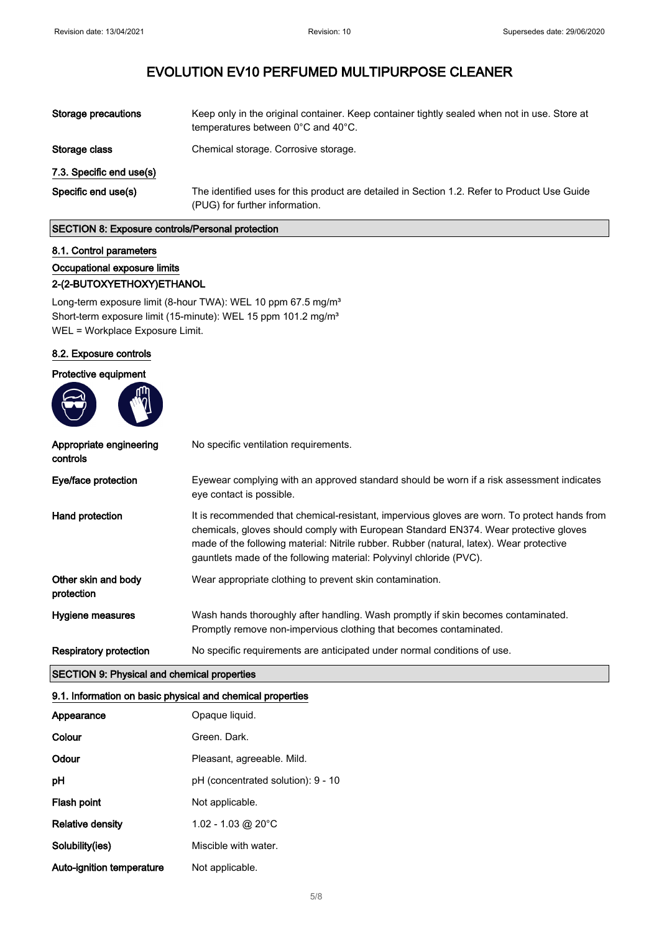| Storage precautions      | Keep only in the original container. Keep container tightly sealed when not in use. Store at<br>temperatures between 0°C and 40°C. |
|--------------------------|------------------------------------------------------------------------------------------------------------------------------------|
| Storage class            | Chemical storage. Corrosive storage.                                                                                               |
| 7.3. Specific end use(s) |                                                                                                                                    |
| Specific end use(s)      | The identified uses for this product are detailed in Section 1.2. Refer to Product Use Guide<br>(PUG) for further information.     |

#### SECTION 8: Exposure controls/Personal protection

#### 8.1. Control parameters

Occupational exposure limits

#### 2-(2-BUTOXYETHOXY)ETHANOL

Long-term exposure limit (8-hour TWA): WEL 10 ppm 67.5 mg/m<sup>3</sup> Short-term exposure limit (15-minute): WEL 15 ppm 101.2 mg/m<sup>3</sup> WEL = Workplace Exposure Limit.

#### 8.2. Exposure controls



| Appropriate engineering<br>controls | No specific ventilation requirements.                                                                                                                                                                                                                                                                                                                   |
|-------------------------------------|---------------------------------------------------------------------------------------------------------------------------------------------------------------------------------------------------------------------------------------------------------------------------------------------------------------------------------------------------------|
| Eye/face protection                 | Eyewear complying with an approved standard should be worn if a risk assessment indicates<br>eye contact is possible.                                                                                                                                                                                                                                   |
| Hand protection                     | It is recommended that chemical-resistant, impervious gloves are worn. To protect hands from<br>chemicals, gloves should comply with European Standard EN374. Wear protective gloves<br>made of the following material: Nitrile rubber. Rubber (natural, latex). Wear protective<br>gauntlets made of the following material: Polyvinyl chloride (PVC). |
| Other skin and body<br>protection   | Wear appropriate clothing to prevent skin contamination.                                                                                                                                                                                                                                                                                                |
| Hygiene measures                    | Wash hands thoroughly after handling. Wash promptly if skin becomes contaminated.<br>Promptly remove non-impervious clothing that becomes contaminated.                                                                                                                                                                                                 |
| Respiratory protection              | No specific requirements are anticipated under normal conditions of use.                                                                                                                                                                                                                                                                                |

#### SECTION 9: Physical and chemical properties

#### 9.1. Information on basic physical and chemical properties

| Appearance                | Opaque liquid.                     |
|---------------------------|------------------------------------|
| Colour                    | Green. Dark.                       |
| Odour                     | Pleasant, agreeable. Mild.         |
| рH                        | pH (concentrated solution): 9 - 10 |
| Flash point               | Not applicable.                    |
| <b>Relative density</b>   | 1.02 - 1.03 @ 20°C                 |
| Solubility(ies)           | Miscible with water.               |
| Auto-ignition temperature | Not applicable.                    |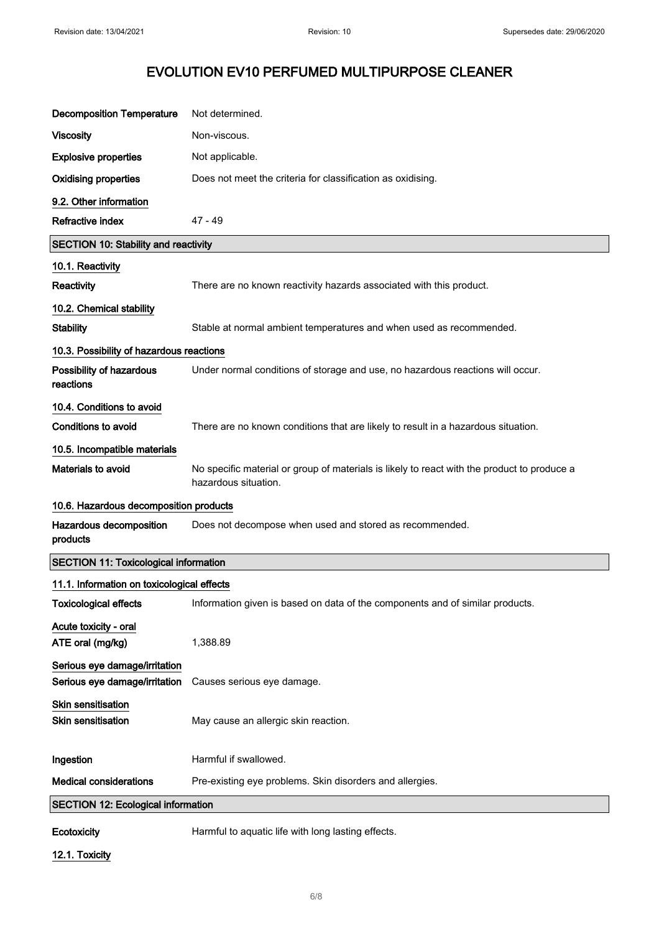| <b>Decomposition Temperature</b>                               | Not determined.                                                                                                     |
|----------------------------------------------------------------|---------------------------------------------------------------------------------------------------------------------|
| <b>Viscosity</b>                                               | Non-viscous.                                                                                                        |
| <b>Explosive properties</b>                                    | Not applicable.                                                                                                     |
| <b>Oxidising properties</b>                                    | Does not meet the criteria for classification as oxidising.                                                         |
| 9.2. Other information                                         |                                                                                                                     |
| <b>Refractive index</b>                                        | 47 - 49                                                                                                             |
| <b>SECTION 10: Stability and reactivity</b>                    |                                                                                                                     |
| 10.1. Reactivity                                               |                                                                                                                     |
| Reactivity                                                     | There are no known reactivity hazards associated with this product.                                                 |
| 10.2. Chemical stability                                       |                                                                                                                     |
| <b>Stability</b>                                               | Stable at normal ambient temperatures and when used as recommended.                                                 |
| 10.3. Possibility of hazardous reactions                       |                                                                                                                     |
| Possibility of hazardous<br>reactions                          | Under normal conditions of storage and use, no hazardous reactions will occur.                                      |
| 10.4. Conditions to avoid                                      |                                                                                                                     |
| <b>Conditions to avoid</b>                                     | There are no known conditions that are likely to result in a hazardous situation.                                   |
| 10.5. Incompatible materials                                   |                                                                                                                     |
| Materials to avoid                                             | No specific material or group of materials is likely to react with the product to produce a<br>hazardous situation. |
| 10.6. Hazardous decomposition products                         |                                                                                                                     |
| Hazardous decomposition<br>products                            | Does not decompose when used and stored as recommended.                                                             |
| <b>SECTION 11: Toxicological information</b>                   |                                                                                                                     |
| 11.1. Information on toxicological effects                     |                                                                                                                     |
| Toxicological effects                                          | Information given is based on data of the components and of similar products.                                       |
| Acute toxicity - oral<br>ATE oral (mg/kg)                      | 1,388.89                                                                                                            |
| Serious eye damage/irritation<br>Serious eye damage/irritation | Causes serious eye damage.                                                                                          |
| Skin sensitisation<br>Skin sensitisation                       | May cause an allergic skin reaction.                                                                                |
| Ingestion                                                      | Harmful if swallowed.                                                                                               |
| <b>Medical considerations</b>                                  | Pre-existing eye problems. Skin disorders and allergies.                                                            |
| <b>SECTION 12: Ecological information</b>                      |                                                                                                                     |
| Ecotoxicity                                                    | Harmful to aquatic life with long lasting effects.                                                                  |

12.1. Toxicity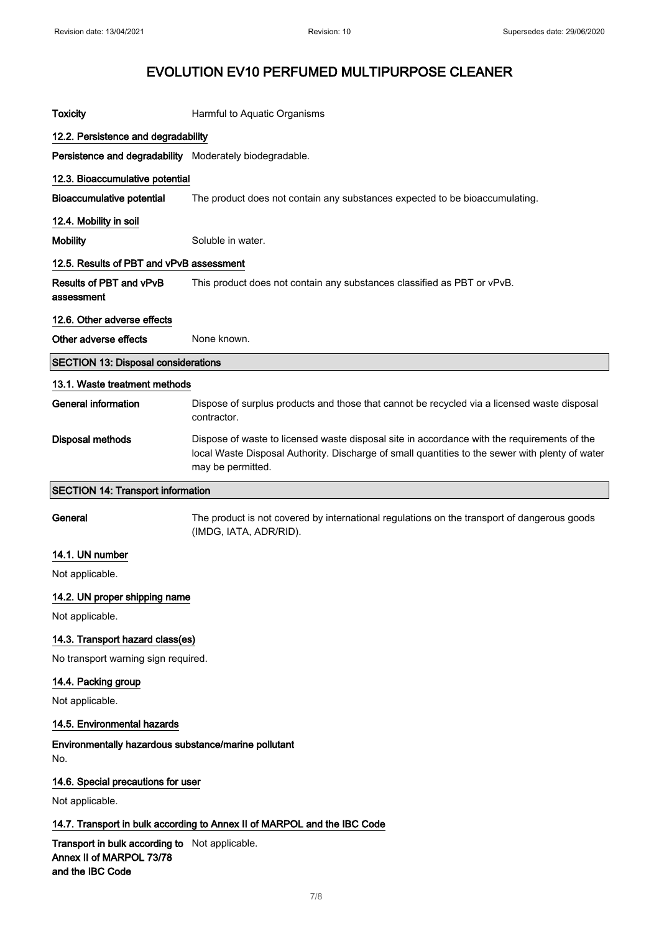| <b>Toxicity</b>                                             | Harmful to Aquatic Organisms                                                                                                                                                                                        |  |
|-------------------------------------------------------------|---------------------------------------------------------------------------------------------------------------------------------------------------------------------------------------------------------------------|--|
| 12.2. Persistence and degradability                         |                                                                                                                                                                                                                     |  |
| Persistence and degradability Moderately biodegradable.     |                                                                                                                                                                                                                     |  |
| 12.3. Bioaccumulative potential                             |                                                                                                                                                                                                                     |  |
| <b>Bioaccumulative potential</b>                            | The product does not contain any substances expected to be bioaccumulating.                                                                                                                                         |  |
| 12.4. Mobility in soil                                      |                                                                                                                                                                                                                     |  |
| <b>Mobility</b>                                             | Soluble in water.                                                                                                                                                                                                   |  |
| 12.5. Results of PBT and vPvB assessment                    |                                                                                                                                                                                                                     |  |
| Results of PBT and vPvB<br>assessment                       | This product does not contain any substances classified as PBT or vPvB.                                                                                                                                             |  |
| 12.6. Other adverse effects                                 |                                                                                                                                                                                                                     |  |
| Other adverse effects                                       | None known.                                                                                                                                                                                                         |  |
| <b>SECTION 13: Disposal considerations</b>                  |                                                                                                                                                                                                                     |  |
| 13.1. Waste treatment methods                               |                                                                                                                                                                                                                     |  |
| <b>General information</b>                                  | Dispose of surplus products and those that cannot be recycled via a licensed waste disposal<br>contractor.                                                                                                          |  |
| <b>Disposal methods</b>                                     | Dispose of waste to licensed waste disposal site in accordance with the requirements of the<br>local Waste Disposal Authority. Discharge of small quantities to the sewer with plenty of water<br>may be permitted. |  |
| <b>SECTION 14: Transport information</b>                    |                                                                                                                                                                                                                     |  |
| General                                                     | The product is not covered by international regulations on the transport of dangerous goods<br>(IMDG, IATA, ADR/RID).                                                                                               |  |
| 14.1. UN number                                             |                                                                                                                                                                                                                     |  |
| Not applicable.                                             |                                                                                                                                                                                                                     |  |
| 14.2. UN proper shipping name                               |                                                                                                                                                                                                                     |  |
| Not applicable.                                             |                                                                                                                                                                                                                     |  |
| 14.3. Transport hazard class(es)                            |                                                                                                                                                                                                                     |  |
| No transport warning sign required.                         |                                                                                                                                                                                                                     |  |
| 14.4. Packing group                                         |                                                                                                                                                                                                                     |  |
| Not applicable.                                             |                                                                                                                                                                                                                     |  |
| 14.5. Environmental hazards                                 |                                                                                                                                                                                                                     |  |
| Environmentally hazardous substance/marine pollutant<br>No. |                                                                                                                                                                                                                     |  |
| 14.6. Special precautions for user                          |                                                                                                                                                                                                                     |  |
|                                                             |                                                                                                                                                                                                                     |  |
| Not applicable.                                             |                                                                                                                                                                                                                     |  |

Transport in bulk according to Not applicable. Annex II of MARPOL 73/78 and the IBC Code